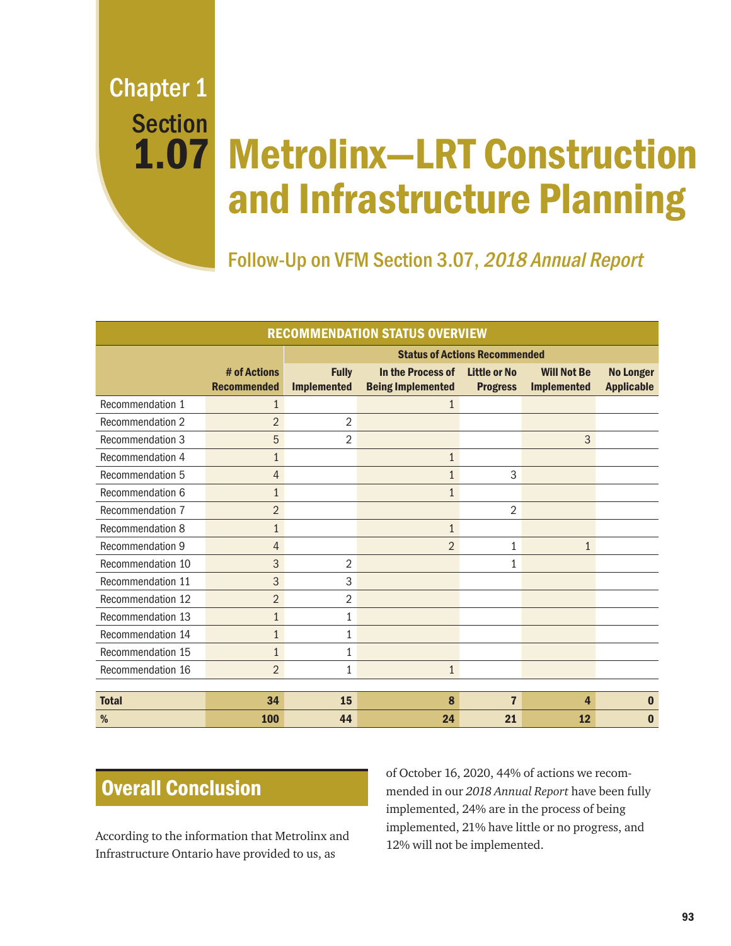Chapter 1 Section 1.07

# Metrolinx—LRT Construction and Infrastructure Planning

Follow-Up on VFM Section 3.07, 2018 Annual Report

| <b>RECOMMENDATION STATUS OVERVIEW</b> |                                    |                                      |                                               |                                        |                                          |                                       |
|---------------------------------------|------------------------------------|--------------------------------------|-----------------------------------------------|----------------------------------------|------------------------------------------|---------------------------------------|
|                                       |                                    | <b>Status of Actions Recommended</b> |                                               |                                        |                                          |                                       |
|                                       | # of Actions<br><b>Recommended</b> | <b>Fully</b><br><b>Implemented</b>   | In the Process of<br><b>Being Implemented</b> | <b>Little or No</b><br><b>Progress</b> | <b>Will Not Be</b><br><b>Implemented</b> | <b>No Longer</b><br><b>Applicable</b> |
| Recommendation 1                      | $\mathbf{1}$                       |                                      | 1                                             |                                        |                                          |                                       |
| Recommendation 2                      | $\overline{2}$                     | 2                                    |                                               |                                        |                                          |                                       |
| <b>Recommendation 3</b>               | 5                                  | $\overline{2}$                       |                                               |                                        | 3                                        |                                       |
| <b>Recommendation 4</b>               | $\mathbf{1}$                       |                                      | $\overline{1}$                                |                                        |                                          |                                       |
| Recommendation 5                      | $\overline{4}$                     |                                      | $\mathbf{1}$                                  | 3                                      |                                          |                                       |
| Recommendation 6                      | $\mathbf{1}$                       |                                      | $\mathbf{1}$                                  |                                        |                                          |                                       |
| Recommendation 7                      | $\overline{2}$                     |                                      |                                               | $\overline{2}$                         |                                          |                                       |
| Recommendation 8                      | $\mathbf{1}$                       |                                      | $\mathbf{1}$                                  |                                        |                                          |                                       |
| Recommendation 9                      | $\overline{4}$                     |                                      | $\overline{2}$                                | 1                                      | $\mathbf{1}$                             |                                       |
| Recommendation 10                     | 3                                  | $\overline{2}$                       |                                               | $\mathbf{1}$                           |                                          |                                       |
| Recommendation 11                     | 3                                  | 3                                    |                                               |                                        |                                          |                                       |
| Recommendation 12                     | $\overline{2}$                     | $\overline{2}$                       |                                               |                                        |                                          |                                       |
| Recommendation 13                     | $\mathbf{1}$                       | $\mathbf{1}$                         |                                               |                                        |                                          |                                       |
| Recommendation 14                     | $\mathbf{1}$                       | $\mathbf{1}$                         |                                               |                                        |                                          |                                       |
| Recommendation 15                     | $\mathbf{1}$                       | $\mathbf{1}$                         |                                               |                                        |                                          |                                       |
| Recommendation 16                     | $\overline{2}$                     | $\mathbf{1}$                         | $\mathbf{1}$                                  |                                        |                                          |                                       |
|                                       |                                    |                                      |                                               |                                        |                                          |                                       |
| <b>Total</b>                          | 34                                 | 15                                   | 8                                             | $\overline{7}$                         | 4                                        | $\bf{0}$                              |
| %                                     | 100                                | 44                                   | 24                                            | 21                                     | 12                                       | 0                                     |

# Overall Conclusion

According to the information that Metrolinx and Infrastructure Ontario have provided to us, as

of October 16, 2020, 44% of actions we recommended in our *2018 Annual Report* have been fully implemented, 24% are in the process of being implemented, 21% have little or no progress, and 12% will not be implemented.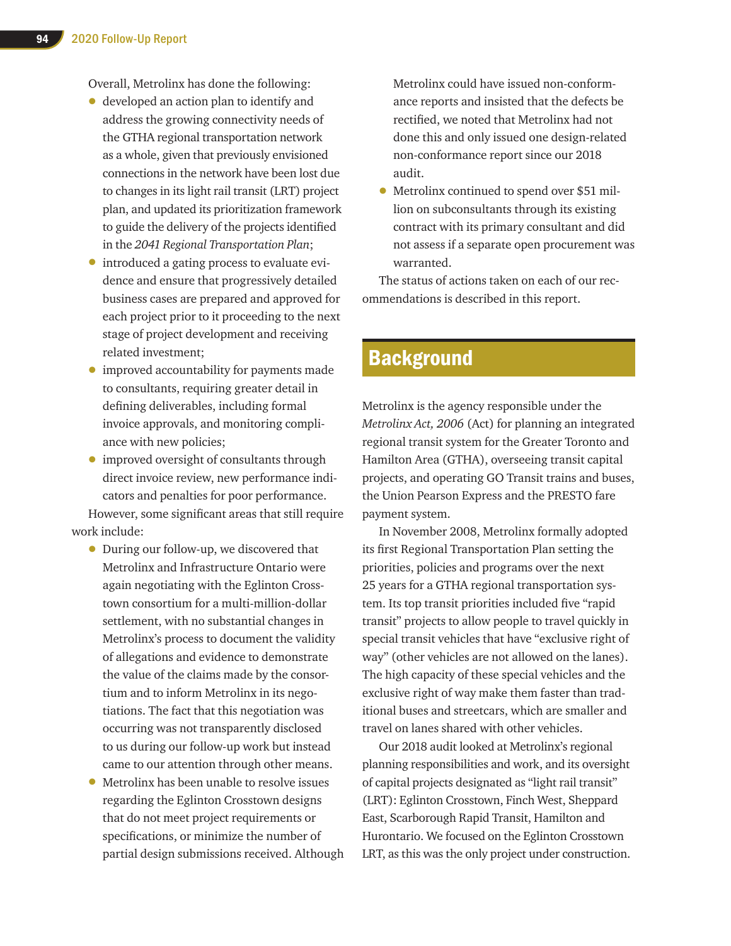Overall, Metrolinx has done the following:

- developed an action plan to identify and address the growing connectivity needs of the GTHA regional transportation network as a whole, given that previously envisioned connections in the network have been lost due to changes in its light rail transit (LRT) project plan, and updated its prioritization framework to guide the delivery of the projects identified in the *2041 Regional Transportation Plan*;
- introduced a gating process to evaluate evidence and ensure that progressively detailed business cases are prepared and approved for each project prior to it proceeding to the next stage of project development and receiving related investment;
- improved accountability for payments made to consultants, requiring greater detail in defining deliverables, including formal invoice approvals, and monitoring compliance with new policies;
- improved oversight of consultants through direct invoice review, new performance indicators and penalties for poor performance.

However, some significant areas that still require work include:

- During our follow-up, we discovered that Metrolinx and Infrastructure Ontario were again negotiating with the Eglinton Crosstown consortium for a multi-million-dollar settlement, with no substantial changes in Metrolinx's process to document the validity of allegations and evidence to demonstrate the value of the claims made by the consortium and to inform Metrolinx in its negotiations. The fact that this negotiation was occurring was not transparently disclosed to us during our follow-up work but instead came to our attention through other means.
- Metrolinx has been unable to resolve issues regarding the Eglinton Crosstown designs that do not meet project requirements or specifications, or minimize the number of partial design submissions received. Although

Metrolinx could have issued non-conformance reports and insisted that the defects be rectified, we noted that Metrolinx had not done this and only issued one design-related non-conformance report since our 2018 audit.

• Metrolinx continued to spend over \$51 million on subconsultants through its existing contract with its primary consultant and did not assess if a separate open procurement was warranted.

The status of actions taken on each of our recommendations is described in this report.

# **Background**

Metrolinx is the agency responsible under the *Metrolinx Act, 2006* (Act) for planning an integrated regional transit system for the Greater Toronto and Hamilton Area (GTHA), overseeing transit capital projects, and operating GO Transit trains and buses, the Union Pearson Express and the PRESTO fare payment system.

In November 2008, Metrolinx formally adopted its first Regional Transportation Plan setting the priorities, policies and programs over the next 25 years for a GTHA regional transportation system. Its top transit priorities included five "rapid transit" projects to allow people to travel quickly in special transit vehicles that have "exclusive right of way" (other vehicles are not allowed on the lanes). The high capacity of these special vehicles and the exclusive right of way make them faster than traditional buses and streetcars, which are smaller and travel on lanes shared with other vehicles.

Our 2018 audit looked at Metrolinx's regional planning responsibilities and work, and its oversight of capital projects designated as "light rail transit" (LRT): Eglinton Crosstown, Finch West, Sheppard East, Scarborough Rapid Transit, Hamilton and Hurontario. We focused on the Eglinton Crosstown LRT, as this was the only project under construction.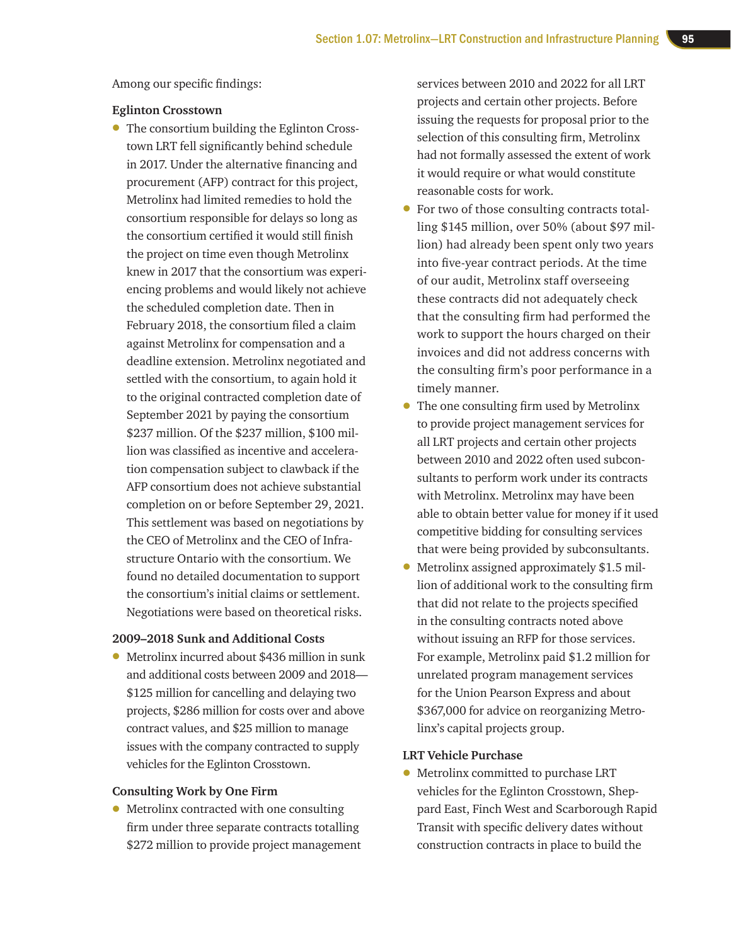Among our specific findings:

#### **Eglinton Crosstown**

• The consortium building the Eglinton Crosstown LRT fell significantly behind schedule in 2017. Under the alternative financing and procurement (AFP) contract for this project, Metrolinx had limited remedies to hold the consortium responsible for delays so long as the consortium certified it would still finish the project on time even though Metrolinx knew in 2017 that the consortium was experiencing problems and would likely not achieve the scheduled completion date. Then in February 2018, the consortium filed a claim against Metrolinx for compensation and a deadline extension. Metrolinx negotiated and settled with the consortium, to again hold it to the original contracted completion date of September 2021 by paying the consortium \$237 million. Of the \$237 million, \$100 million was classified as incentive and acceleration compensation subject to clawback if the AFP consortium does not achieve substantial completion on or before September 29, 2021. This settlement was based on negotiations by the CEO of Metrolinx and the CEO of Infrastructure Ontario with the consortium. We found no detailed documentation to support the consortium's initial claims or settlement. Negotiations were based on theoretical risks.

## **2009–2018 Sunk and Additional Costs**

• Metrolinx incurred about \$436 million in sunk and additional costs between 2009 and 2018— \$125 million for cancelling and delaying two projects, \$286 million for costs over and above contract values, and \$25 million to manage issues with the company contracted to supply vehicles for the Eglinton Crosstown.

#### **Consulting Work by One Firm**

• Metrolinx contracted with one consulting firm under three separate contracts totalling \$272 million to provide project management services between 2010 and 2022 for all LRT projects and certain other projects. Before issuing the requests for proposal prior to the selection of this consulting firm, Metrolinx had not formally assessed the extent of work it would require or what would constitute reasonable costs for work.

- For two of those consulting contracts totalling \$145 million, over 50% (about \$97 million) had already been spent only two years into five-year contract periods. At the time of our audit, Metrolinx staff overseeing these contracts did not adequately check that the consulting firm had performed the work to support the hours charged on their invoices and did not address concerns with the consulting firm's poor performance in a timely manner.
- The one consulting firm used by Metrolinx to provide project management services for all LRT projects and certain other projects between 2010 and 2022 often used subconsultants to perform work under its contracts with Metrolinx. Metrolinx may have been able to obtain better value for money if it used competitive bidding for consulting services that were being provided by subconsultants.
- Metrolinx assigned approximately \$1.5 million of additional work to the consulting firm that did not relate to the projects specified in the consulting contracts noted above without issuing an RFP for those services. For example, Metrolinx paid \$1.2 million for unrelated program management services for the Union Pearson Express and about \$367,000 for advice on reorganizing Metrolinx's capital projects group.

## **LRT Vehicle Purchase**

• Metrolinx committed to purchase LRT vehicles for the Eglinton Crosstown, Sheppard East, Finch West and Scarborough Rapid Transit with specific delivery dates without construction contracts in place to build the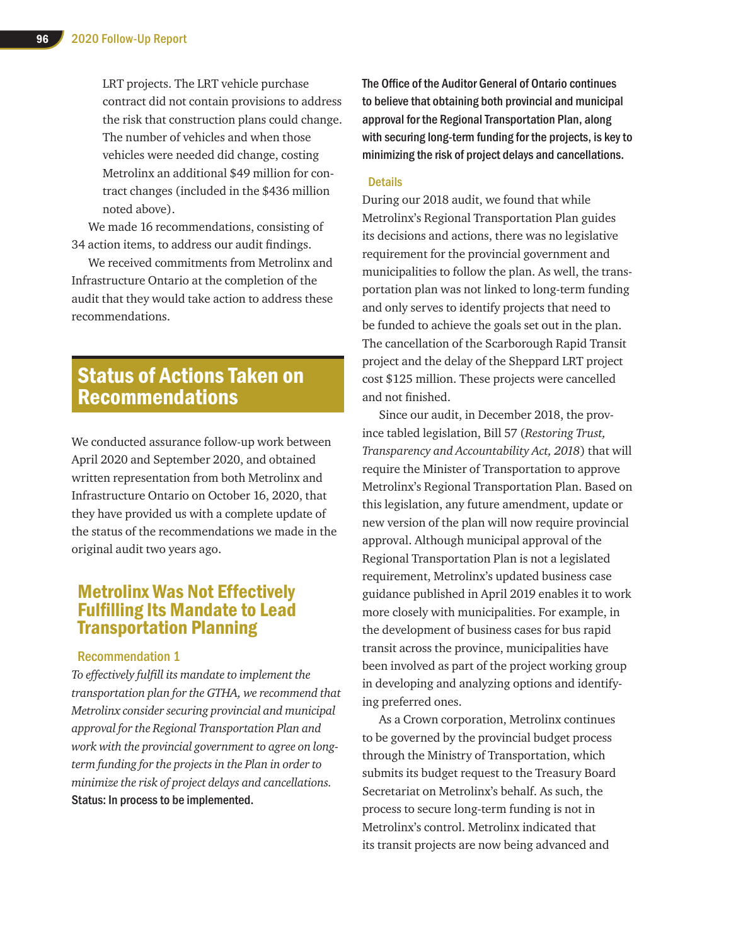LRT projects. The LRT vehicle purchase contract did not contain provisions to address the risk that construction plans could change. The number of vehicles and when those vehicles were needed did change, costing Metrolinx an additional \$49 million for contract changes (included in the \$436 million noted above).

We made 16 recommendations, consisting of 34 action items, to address our audit findings.

We received commitments from Metrolinx and Infrastructure Ontario at the completion of the audit that they would take action to address these recommendations.

# Status of Actions Taken on Recommendations

We conducted assurance follow-up work between April 2020 and September 2020, and obtained written representation from both Metrolinx and Infrastructure Ontario on October 16, 2020, that they have provided us with a complete update of the status of the recommendations we made in the original audit two years ago.

# Metrolinx Was Not Effectively Fulfilling Its Mandate to Lead Transportation Planning

## Recommendation 1

*To effectively fulfill its mandate to implement the transportation plan for the GTHA, we recommend that Metrolinx consider securing provincial and municipal approval for the Regional Transportation Plan and work with the provincial government to agree on longterm funding for the projects in the Plan in order to minimize the risk of project delays and cancellations.*  Status: In process to be implemented.

The Office of the Auditor General of Ontario continues to believe that obtaining both provincial and municipal approval for the Regional Transportation Plan, along with securing long-term funding for the projects, is key to minimizing the risk of project delays and cancellations.

#### **Details**

During our 2018 audit, we found that while Metrolinx's Regional Transportation Plan guides its decisions and actions, there was no legislative requirement for the provincial government and municipalities to follow the plan. As well, the transportation plan was not linked to long-term funding and only serves to identify projects that need to be funded to achieve the goals set out in the plan. The cancellation of the Scarborough Rapid Transit project and the delay of the Sheppard LRT project cost \$125 million. These projects were cancelled and not finished.

Since our audit, in December 2018, the province tabled legislation, Bill 57 (*Restoring Trust, Transparency and Accountability Act, 2018*) that will require the Minister of Transportation to approve Metrolinx's Regional Transportation Plan. Based on this legislation, any future amendment, update or new version of the plan will now require provincial approval. Although municipal approval of the Regional Transportation Plan is not a legislated requirement, Metrolinx's updated business case guidance published in April 2019 enables it to work more closely with municipalities. For example, in the development of business cases for bus rapid transit across the province, municipalities have been involved as part of the project working group in developing and analyzing options and identifying preferred ones.

As a Crown corporation, Metrolinx continues to be governed by the provincial budget process through the Ministry of Transportation, which submits its budget request to the Treasury Board Secretariat on Metrolinx's behalf. As such, the process to secure long-term funding is not in Metrolinx's control. Metrolinx indicated that its transit projects are now being advanced and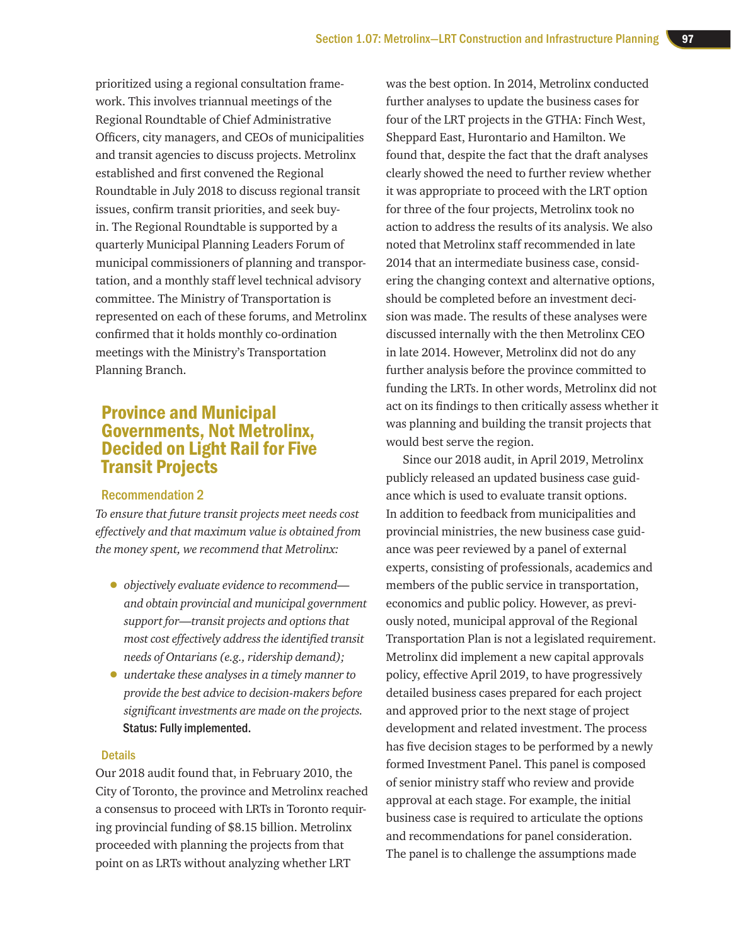prioritized using a regional consultation framework. This involves triannual meetings of the Regional Roundtable of Chief Administrative Officers, city managers, and CEOs of municipalities and transit agencies to discuss projects. Metrolinx established and first convened the Regional Roundtable in July 2018 to discuss regional transit issues, confirm transit priorities, and seek buyin. The Regional Roundtable is supported by a quarterly Municipal Planning Leaders Forum of municipal commissioners of planning and transportation, and a monthly staff level technical advisory committee. The Ministry of Transportation is represented on each of these forums, and Metrolinx confirmed that it holds monthly co-ordination meetings with the Ministry's Transportation Planning Branch.

# Province and Municipal Governments, Not Metrolinx, Decided on Light Rail for Five Transit Projects

#### Recommendation 2

*To ensure that future transit projects meet needs cost effectively and that maximum value is obtained from the money spent, we recommend that Metrolinx:*

- *objectively evaluate evidence to recommend and obtain provincial and municipal government support for—transit projects and options that most cost effectively address the identified transit needs of Ontarians (e.g., ridership demand);*
- *undertake these analyses in a timely manner to provide the best advice to decision-makers before significant investments are made on the projects.* Status: Fully implemented.

#### **Details**

Our 2018 audit found that, in February 2010, the City of Toronto, the province and Metrolinx reached a consensus to proceed with LRTs in Toronto requiring provincial funding of \$8.15 billion. Metrolinx proceeded with planning the projects from that point on as LRTs without analyzing whether LRT

was the best option. In 2014, Metrolinx conducted further analyses to update the business cases for four of the LRT projects in the GTHA: Finch West, Sheppard East, Hurontario and Hamilton. We found that, despite the fact that the draft analyses clearly showed the need to further review whether it was appropriate to proceed with the LRT option for three of the four projects, Metrolinx took no action to address the results of its analysis. We also noted that Metrolinx staff recommended in late 2014 that an intermediate business case, considering the changing context and alternative options, should be completed before an investment decision was made. The results of these analyses were discussed internally with the then Metrolinx CEO in late 2014. However, Metrolinx did not do any further analysis before the province committed to funding the LRTs. In other words, Metrolinx did not act on its findings to then critically assess whether it was planning and building the transit projects that would best serve the region.

Since our 2018 audit, in April 2019, Metrolinx publicly released an updated business case guidance which is used to evaluate transit options. In addition to feedback from municipalities and provincial ministries, the new business case guidance was peer reviewed by a panel of external experts, consisting of professionals, academics and members of the public service in transportation, economics and public policy. However, as previously noted, municipal approval of the Regional Transportation Plan is not a legislated requirement. Metrolinx did implement a new capital approvals policy, effective April 2019, to have progressively detailed business cases prepared for each project and approved prior to the next stage of project development and related investment. The process has five decision stages to be performed by a newly formed Investment Panel. This panel is composed of senior ministry staff who review and provide approval at each stage. For example, the initial business case is required to articulate the options and recommendations for panel consideration. The panel is to challenge the assumptions made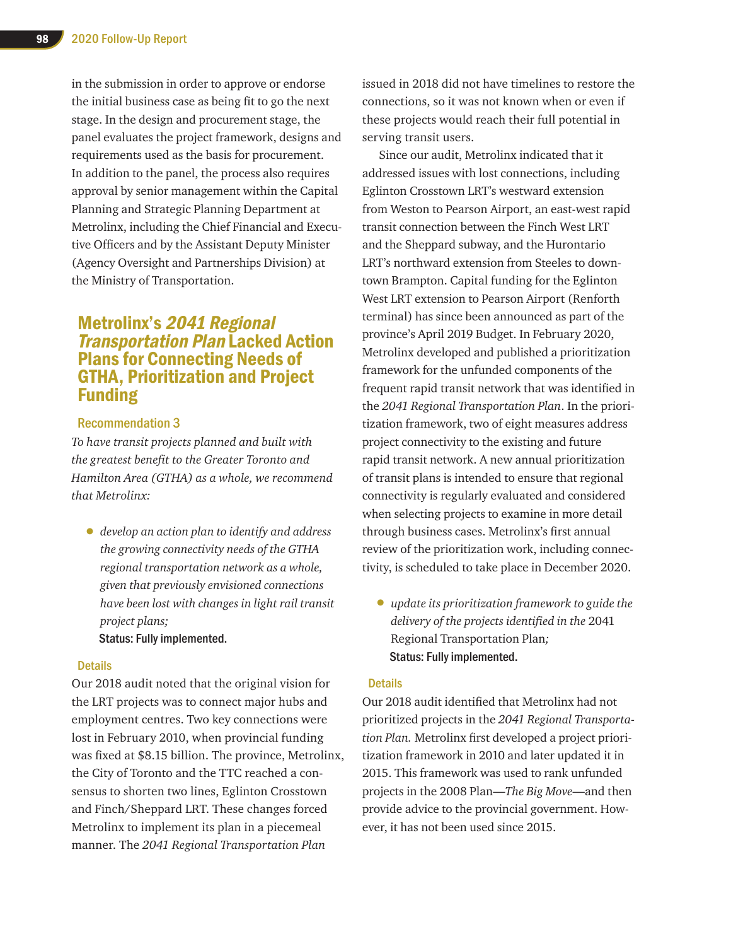in the submission in order to approve or endorse the initial business case as being fit to go the next stage. In the design and procurement stage, the panel evaluates the project framework, designs and requirements used as the basis for procurement. In addition to the panel, the process also requires approval by senior management within the Capital Planning and Strategic Planning Department at Metrolinx, including the Chief Financial and Executive Officers and by the Assistant Deputy Minister (Agency Oversight and Partnerships Division) at the Ministry of Transportation.

# Metrolinx's 2041 Regional Transportation Plan Lacked Action Plans for Connecting Needs of GTHA, Prioritization and Project Funding

## Recommendation 3

*To have transit projects planned and built with the greatest benefit to the Greater Toronto and Hamilton Area (GTHA) as a whole, we recommend that Metrolinx:*

• *develop an action plan to identify and address the growing connectivity needs of the GTHA regional transportation network as a whole, given that previously envisioned connections have been lost with changes in light rail transit project plans;*

Status: Fully implemented.

#### **Details**

Our 2018 audit noted that the original vision for the LRT projects was to connect major hubs and employment centres. Two key connections were lost in February 2010, when provincial funding was fixed at \$8.15 billion. The province, Metrolinx, the City of Toronto and the TTC reached a consensus to shorten two lines, Eglinton Crosstown and Finch/Sheppard LRT. These changes forced Metrolinx to implement its plan in a piecemeal manner. The *2041 Regional Transportation Plan*

issued in 2018 did not have timelines to restore the connections, so it was not known when or even if these projects would reach their full potential in serving transit users.

Since our audit, Metrolinx indicated that it addressed issues with lost connections, including Eglinton Crosstown LRT's westward extension from Weston to Pearson Airport, an east-west rapid transit connection between the Finch West LRT and the Sheppard subway, and the Hurontario LRT's northward extension from Steeles to downtown Brampton. Capital funding for the Eglinton West LRT extension to Pearson Airport (Renforth terminal) has since been announced as part of the province's April 2019 Budget. In February 2020, Metrolinx developed and published a prioritization framework for the unfunded components of the frequent rapid transit network that was identified in the *2041 Regional Transportation Plan*. In the prioritization framework, two of eight measures address project connectivity to the existing and future rapid transit network. A new annual prioritization of transit plans is intended to ensure that regional connectivity is regularly evaluated and considered when selecting projects to examine in more detail through business cases. Metrolinx's first annual review of the prioritization work, including connectivity, is scheduled to take place in December 2020.

• *update its prioritization framework to guide the delivery of the projects identified in the* 2041 Regional Transportation Plan*;* Status: Fully implemented.

#### **Details**

Our 2018 audit identified that Metrolinx had not prioritized projects in the *2041 Regional Transportation Plan.* Metrolinx first developed a project prioritization framework in 2010 and later updated it in 2015. This framework was used to rank unfunded projects in the 2008 Plan—*The Big Move*—and then provide advice to the provincial government. However, it has not been used since 2015.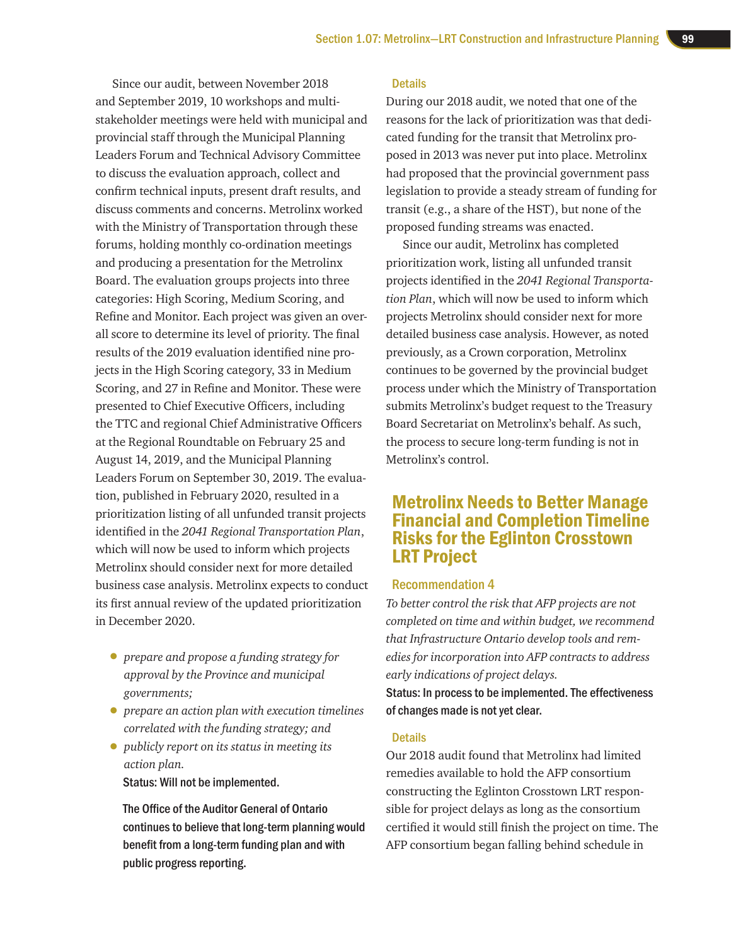Since our audit, between November 2018 and September 2019, 10 workshops and multistakeholder meetings were held with municipal and provincial staff through the Municipal Planning Leaders Forum and Technical Advisory Committee to discuss the evaluation approach, collect and confirm technical inputs, present draft results, and discuss comments and concerns. Metrolinx worked with the Ministry of Transportation through these forums, holding monthly co-ordination meetings and producing a presentation for the Metrolinx Board. The evaluation groups projects into three categories: High Scoring, Medium Scoring, and Refine and Monitor. Each project was given an overall score to determine its level of priority. The final results of the 2019 evaluation identified nine projects in the High Scoring category, 33 in Medium Scoring, and 27 in Refine and Monitor. These were presented to Chief Executive Officers, including the TTC and regional Chief Administrative Officers at the Regional Roundtable on February 25 and August 14, 2019, and the Municipal Planning Leaders Forum on September 30, 2019. The evaluation, published in February 2020, resulted in a prioritization listing of all unfunded transit projects identified in the *2041 Regional Transportation Plan*, which will now be used to inform which projects Metrolinx should consider next for more detailed business case analysis. Metrolinx expects to conduct its first annual review of the updated prioritization in December 2020.

- *prepare and propose a funding strategy for approval by the Province and municipal governments;*
- *prepare an action plan with execution timelines correlated with the funding strategy; and*
- *publicly report on its status in meeting its action plan.* Status: Will not be implemented.

The Office of the Auditor General of Ontario continues to believe that long-term planning would benefit from a long-term funding plan and with public progress reporting.

## **Details**

During our 2018 audit, we noted that one of the reasons for the lack of prioritization was that dedicated funding for the transit that Metrolinx proposed in 2013 was never put into place. Metrolinx had proposed that the provincial government pass legislation to provide a steady stream of funding for transit (e.g., a share of the HST), but none of the proposed funding streams was enacted.

Since our audit, Metrolinx has completed prioritization work, listing all unfunded transit projects identified in the *2041 Regional Transportation Plan*, which will now be used to inform which projects Metrolinx should consider next for more detailed business case analysis. However, as noted previously, as a Crown corporation, Metrolinx continues to be governed by the provincial budget process under which the Ministry of Transportation submits Metrolinx's budget request to the Treasury Board Secretariat on Metrolinx's behalf. As such, the process to secure long-term funding is not in Metrolinx's control.

# Metrolinx Needs to Better Manage Financial and Completion Timeline Risks for the Eglinton Crosstown LRT Project

## Recommendation 4

*To better control the risk that AFP projects are not completed on time and within budget, we recommend that Infrastructure Ontario develop tools and remedies for incorporation into AFP contracts to address early indications of project delays.*

Status: In process to be implemented. The effectiveness of changes made is not yet clear.

#### **Details**

Our 2018 audit found that Metrolinx had limited remedies available to hold the AFP consortium constructing the Eglinton Crosstown LRT responsible for project delays as long as the consortium certified it would still finish the project on time. The AFP consortium began falling behind schedule in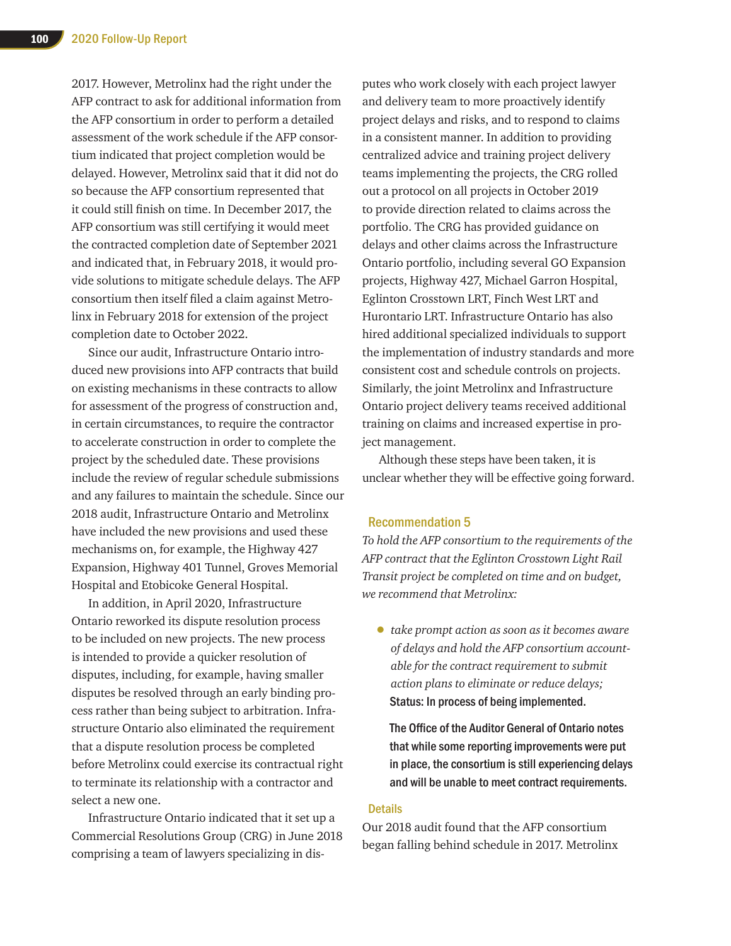2017. However, Metrolinx had the right under the AFP contract to ask for additional information from the AFP consortium in order to perform a detailed assessment of the work schedule if the AFP consortium indicated that project completion would be delayed. However, Metrolinx said that it did not do so because the AFP consortium represented that it could still finish on time. In December 2017, the AFP consortium was still certifying it would meet the contracted completion date of September 2021 and indicated that, in February 2018, it would provide solutions to mitigate schedule delays. The AFP consortium then itself filed a claim against Metrolinx in February 2018 for extension of the project completion date to October 2022.

Since our audit, Infrastructure Ontario introduced new provisions into AFP contracts that build on existing mechanisms in these contracts to allow for assessment of the progress of construction and, in certain circumstances, to require the contractor to accelerate construction in order to complete the project by the scheduled date. These provisions include the review of regular schedule submissions and any failures to maintain the schedule. Since our 2018 audit, Infrastructure Ontario and Metrolinx have included the new provisions and used these mechanisms on, for example, the Highway 427 Expansion, Highway 401 Tunnel, Groves Memorial Hospital and Etobicoke General Hospital.

In addition, in April 2020, Infrastructure Ontario reworked its dispute resolution process to be included on new projects. The new process is intended to provide a quicker resolution of disputes, including, for example, having smaller disputes be resolved through an early binding process rather than being subject to arbitration. Infrastructure Ontario also eliminated the requirement that a dispute resolution process be completed before Metrolinx could exercise its contractual right to terminate its relationship with a contractor and select a new one.

Infrastructure Ontario indicated that it set up a Commercial Resolutions Group (CRG) in June 2018 comprising a team of lawyers specializing in dis-

putes who work closely with each project lawyer and delivery team to more proactively identify project delays and risks, and to respond to claims in a consistent manner. In addition to providing centralized advice and training project delivery teams implementing the projects, the CRG rolled out a protocol on all projects in October 2019 to provide direction related to claims across the portfolio. The CRG has provided guidance on delays and other claims across the Infrastructure Ontario portfolio, including several GO Expansion projects, Highway 427, Michael Garron Hospital, Eglinton Crosstown LRT, Finch West LRT and Hurontario LRT. Infrastructure Ontario has also hired additional specialized individuals to support the implementation of industry standards and more consistent cost and schedule controls on projects. Similarly, the joint Metrolinx and Infrastructure Ontario project delivery teams received additional training on claims and increased expertise in project management.

Although these steps have been taken, it is unclear whether they will be effective going forward.

## Recommendation 5

*To hold the AFP consortium to the requirements of the AFP contract that the Eglinton Crosstown Light Rail Transit project be completed on time and on budget, we recommend that Metrolinx:*

• *take prompt action as soon as it becomes aware of delays and hold the AFP consortium accountable for the contract requirement to submit action plans to eliminate or reduce delays;* Status: In process of being implemented.

The Office of the Auditor General of Ontario notes that while some reporting improvements were put in place, the consortium is still experiencing delays and will be unable to meet contract requirements.

#### **Details**

Our 2018 audit found that the AFP consortium began falling behind schedule in 2017. Metrolinx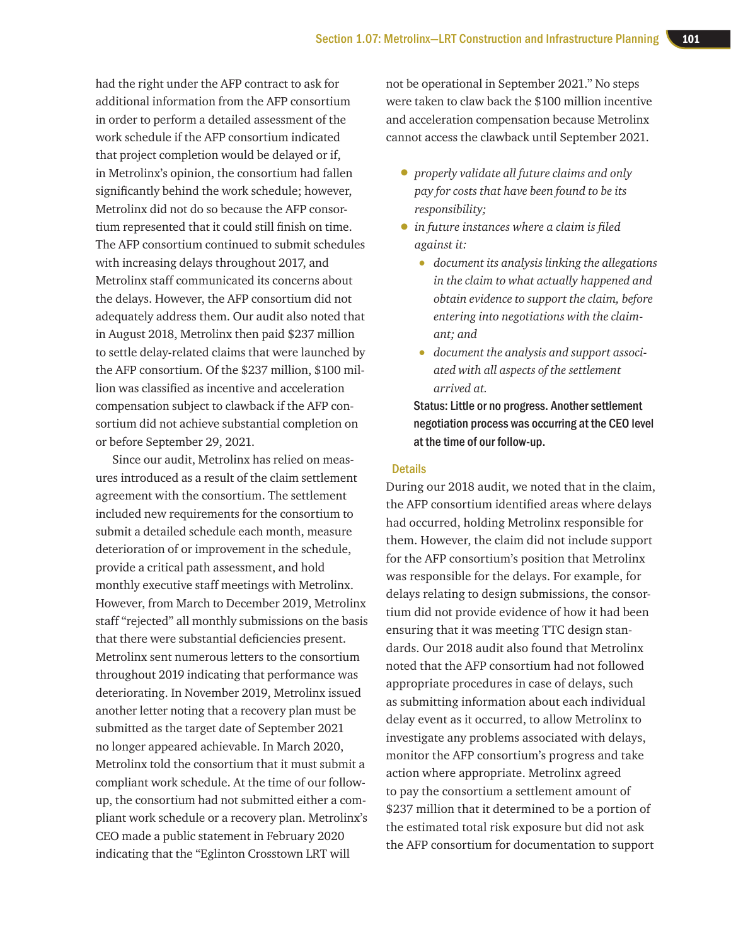had the right under the AFP contract to ask for additional information from the AFP consortium in order to perform a detailed assessment of the work schedule if the AFP consortium indicated that project completion would be delayed or if, in Metrolinx's opinion, the consortium had fallen significantly behind the work schedule; however, Metrolinx did not do so because the AFP consortium represented that it could still finish on time. The AFP consortium continued to submit schedules with increasing delays throughout 2017, and Metrolinx staff communicated its concerns about the delays. However, the AFP consortium did not adequately address them. Our audit also noted that in August 2018, Metrolinx then paid \$237 million to settle delay-related claims that were launched by the AFP consortium. Of the \$237 million, \$100 million was classified as incentive and acceleration compensation subject to clawback if the AFP consortium did not achieve substantial completion on or before September 29, 2021.

Since our audit, Metrolinx has relied on measures introduced as a result of the claim settlement agreement with the consortium. The settlement included new requirements for the consortium to submit a detailed schedule each month, measure deterioration of or improvement in the schedule, provide a critical path assessment, and hold monthly executive staff meetings with Metrolinx. However, from March to December 2019, Metrolinx staff "rejected" all monthly submissions on the basis that there were substantial deficiencies present. Metrolinx sent numerous letters to the consortium throughout 2019 indicating that performance was deteriorating. In November 2019, Metrolinx issued another letter noting that a recovery plan must be submitted as the target date of September 2021 no longer appeared achievable. In March 2020, Metrolinx told the consortium that it must submit a compliant work schedule. At the time of our followup, the consortium had not submitted either a compliant work schedule or a recovery plan. Metrolinx's CEO made a public statement in February 2020 indicating that the "Eglinton Crosstown LRT will

not be operational in September 2021." No steps were taken to claw back the \$100 million incentive and acceleration compensation because Metrolinx cannot access the clawback until September 2021.

- *properly validate all future claims and only pay for costs that have been found to be its responsibility;*
- *in future instances where a claim is filed against it:*
	- *document its analysis linking the allegations in the claim to what actually happened and obtain evidence to support the claim, before entering into negotiations with the claimant; and*
	- *document the analysis and support associated with all aspects of the settlement arrived at.*

Status: Little or no progress. Another settlement negotiation process was occurring at the CEO level at the time of our follow-up.

#### **Details**

During our 2018 audit, we noted that in the claim, the AFP consortium identified areas where delays had occurred, holding Metrolinx responsible for them. However, the claim did not include support for the AFP consortium's position that Metrolinx was responsible for the delays. For example, for delays relating to design submissions, the consortium did not provide evidence of how it had been ensuring that it was meeting TTC design standards. Our 2018 audit also found that Metrolinx noted that the AFP consortium had not followed appropriate procedures in case of delays, such as submitting information about each individual delay event as it occurred, to allow Metrolinx to investigate any problems associated with delays, monitor the AFP consortium's progress and take action where appropriate. Metrolinx agreed to pay the consortium a settlement amount of \$237 million that it determined to be a portion of the estimated total risk exposure but did not ask the AFP consortium for documentation to support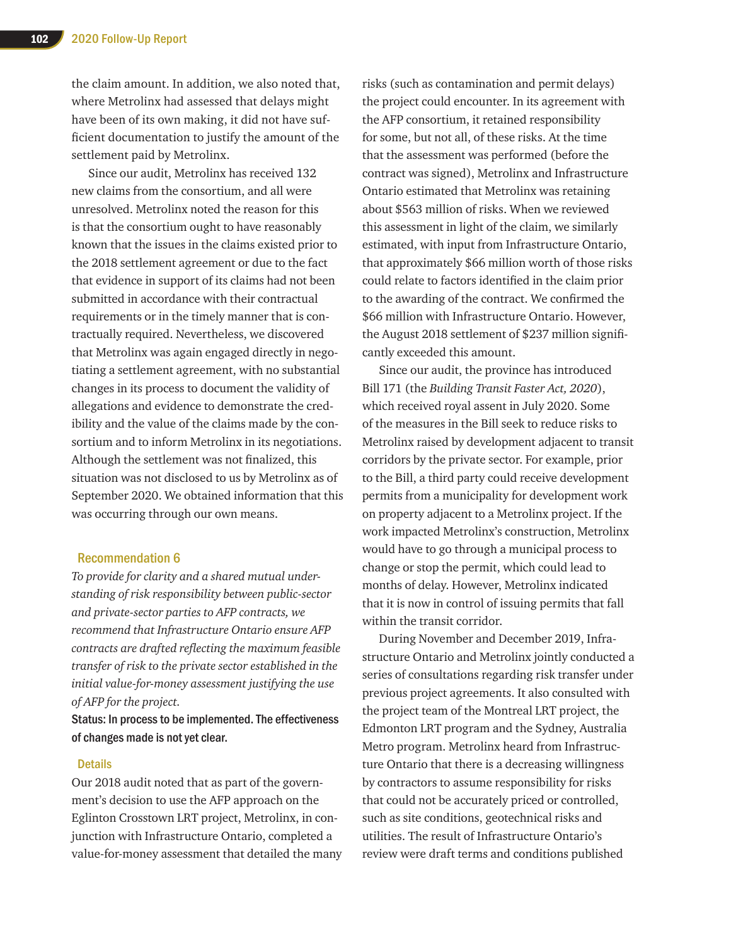the claim amount. In addition, we also noted that, where Metrolinx had assessed that delays might have been of its own making, it did not have sufficient documentation to justify the amount of the settlement paid by Metrolinx.

Since our audit, Metrolinx has received 132 new claims from the consortium, and all were unresolved. Metrolinx noted the reason for this is that the consortium ought to have reasonably known that the issues in the claims existed prior to the 2018 settlement agreement or due to the fact that evidence in support of its claims had not been submitted in accordance with their contractual requirements or in the timely manner that is contractually required. Nevertheless, we discovered that Metrolinx was again engaged directly in negotiating a settlement agreement, with no substantial changes in its process to document the validity of allegations and evidence to demonstrate the credibility and the value of the claims made by the consortium and to inform Metrolinx in its negotiations. Although the settlement was not finalized, this situation was not disclosed to us by Metrolinx as of September 2020. We obtained information that this was occurring through our own means.

#### Recommendation 6

*To provide for clarity and a shared mutual understanding of risk responsibility between public-sector and private-sector parties to AFP contracts, we recommend that Infrastructure Ontario ensure AFP contracts are drafted reflecting the maximum feasible transfer of risk to the private sector established in the initial value-for-money assessment justifying the use of AFP for the project.*

Status: In process to be implemented. The effectiveness of changes made is not yet clear.

#### **Details**

Our 2018 audit noted that as part of the government's decision to use the AFP approach on the Eglinton Crosstown LRT project, Metrolinx, in conjunction with Infrastructure Ontario, completed a value-for-money assessment that detailed the many risks (such as contamination and permit delays) the project could encounter. In its agreement with the AFP consortium, it retained responsibility for some, but not all, of these risks. At the time that the assessment was performed (before the contract was signed), Metrolinx and Infrastructure Ontario estimated that Metrolinx was retaining about \$563 million of risks. When we reviewed this assessment in light of the claim, we similarly estimated, with input from Infrastructure Ontario, that approximately \$66 million worth of those risks could relate to factors identified in the claim prior to the awarding of the contract. We confirmed the \$66 million with Infrastructure Ontario. However, the August 2018 settlement of \$237 million significantly exceeded this amount.

Since our audit, the province has introduced Bill 171 (the *Building Transit Faster Act, 2020*), which received royal assent in July 2020. Some of the measures in the Bill seek to reduce risks to Metrolinx raised by development adjacent to transit corridors by the private sector. For example, prior to the Bill, a third party could receive development permits from a municipality for development work on property adjacent to a Metrolinx project. If the work impacted Metrolinx's construction, Metrolinx would have to go through a municipal process to change or stop the permit, which could lead to months of delay. However, Metrolinx indicated that it is now in control of issuing permits that fall within the transit corridor.

During November and December 2019, Infrastructure Ontario and Metrolinx jointly conducted a series of consultations regarding risk transfer under previous project agreements. It also consulted with the project team of the Montreal LRT project, the Edmonton LRT program and the Sydney, Australia Metro program. Metrolinx heard from Infrastructure Ontario that there is a decreasing willingness by contractors to assume responsibility for risks that could not be accurately priced or controlled, such as site conditions, geotechnical risks and utilities. The result of Infrastructure Ontario's review were draft terms and conditions published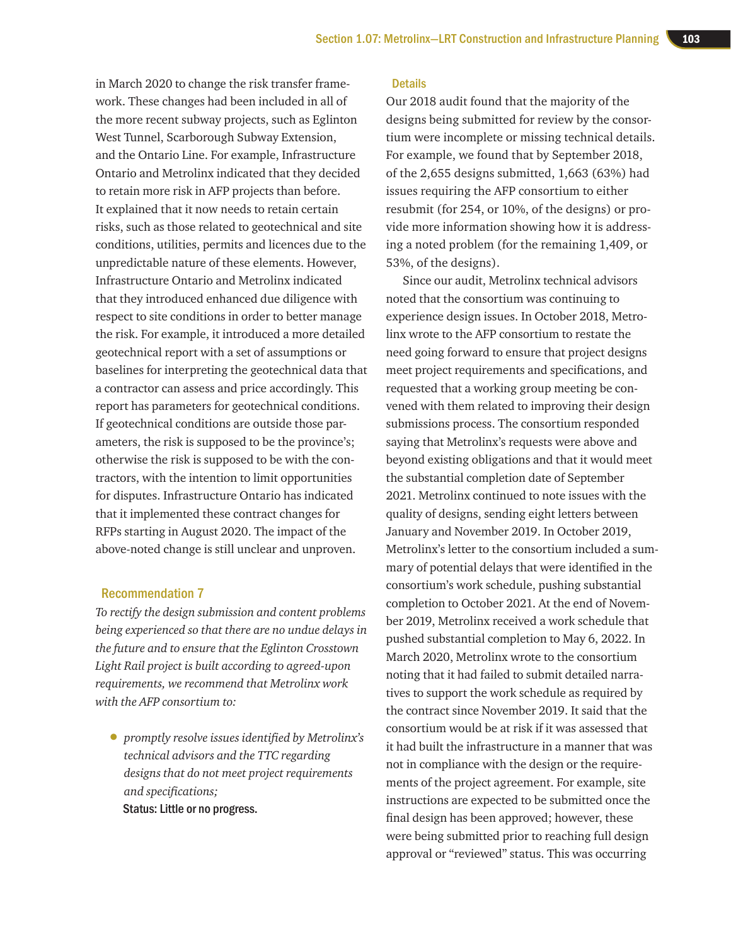in March 2020 to change the risk transfer framework. These changes had been included in all of the more recent subway projects, such as Eglinton West Tunnel, Scarborough Subway Extension, and the Ontario Line. For example, Infrastructure Ontario and Metrolinx indicated that they decided to retain more risk in AFP projects than before. It explained that it now needs to retain certain risks, such as those related to geotechnical and site conditions, utilities, permits and licences due to the unpredictable nature of these elements. However, Infrastructure Ontario and Metrolinx indicated that they introduced enhanced due diligence with respect to site conditions in order to better manage the risk. For example, it introduced a more detailed geotechnical report with a set of assumptions or baselines for interpreting the geotechnical data that a contractor can assess and price accordingly. This report has parameters for geotechnical conditions. If geotechnical conditions are outside those parameters, the risk is supposed to be the province's; otherwise the risk is supposed to be with the contractors, with the intention to limit opportunities for disputes. Infrastructure Ontario has indicated that it implemented these contract changes for RFPs starting in August 2020. The impact of the above-noted change is still unclear and unproven.

#### Recommendation 7

*To rectify the design submission and content problems being experienced so that there are no undue delays in the future and to ensure that the Eglinton Crosstown Light Rail project is built according to agreed-upon requirements, we recommend that Metrolinx work with the AFP consortium to:*

• *promptly resolve issues identified by Metrolinx's technical advisors and the TTC regarding designs that do not meet project requirements and specifications;*  Status: Little or no progress.

#### **Details**

Our 2018 audit found that the majority of the designs being submitted for review by the consortium were incomplete or missing technical details. For example, we found that by September 2018, of the 2,655 designs submitted, 1,663 (63%) had issues requiring the AFP consortium to either resubmit (for 254, or 10%, of the designs) or provide more information showing how it is addressing a noted problem (for the remaining 1,409, or 53%, of the designs).

Since our audit, Metrolinx technical advisors noted that the consortium was continuing to experience design issues. In October 2018, Metrolinx wrote to the AFP consortium to restate the need going forward to ensure that project designs meet project requirements and specifications, and requested that a working group meeting be convened with them related to improving their design submissions process. The consortium responded saying that Metrolinx's requests were above and beyond existing obligations and that it would meet the substantial completion date of September 2021. Metrolinx continued to note issues with the quality of designs, sending eight letters between January and November 2019. In October 2019, Metrolinx's letter to the consortium included a summary of potential delays that were identified in the consortium's work schedule, pushing substantial completion to October 2021. At the end of November 2019, Metrolinx received a work schedule that pushed substantial completion to May 6, 2022. In March 2020, Metrolinx wrote to the consortium noting that it had failed to submit detailed narratives to support the work schedule as required by the contract since November 2019. It said that the consortium would be at risk if it was assessed that it had built the infrastructure in a manner that was not in compliance with the design or the requirements of the project agreement. For example, site instructions are expected to be submitted once the final design has been approved; however, these were being submitted prior to reaching full design approval or "reviewed" status. This was occurring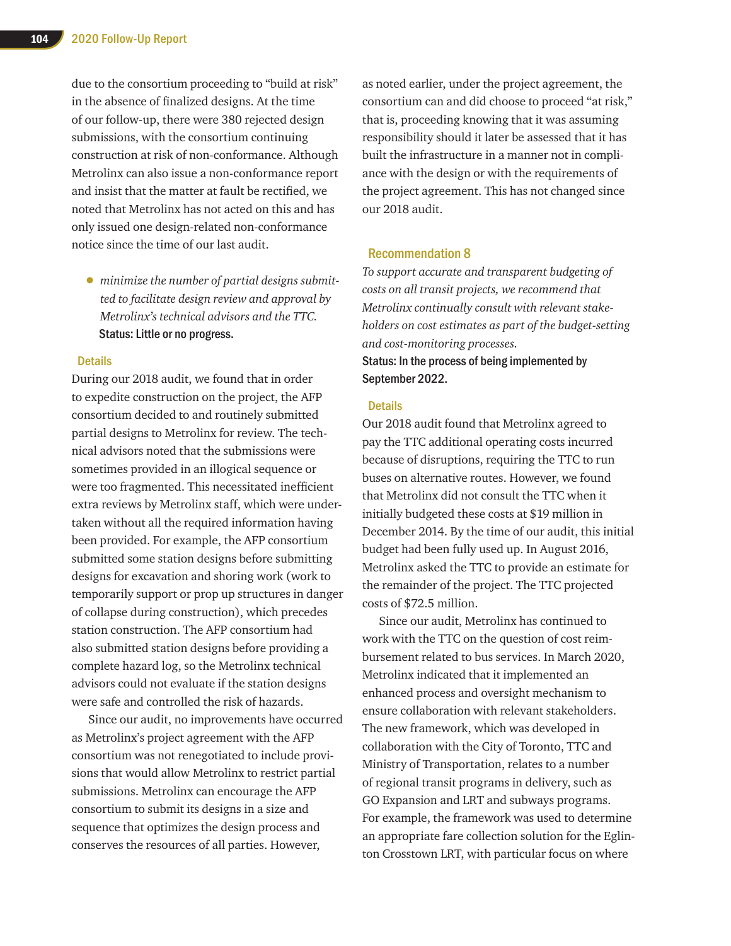due to the consortium proceeding to "build at risk" in the absence of finalized designs. At the time of our follow-up, there were 380 rejected design submissions, with the consortium continuing construction at risk of non-conformance. Although Metrolinx can also issue a non-conformance report and insist that the matter at fault be rectified, we noted that Metrolinx has not acted on this and has only issued one design-related non-conformance notice since the time of our last audit.

• *minimize the number of partial designs submitted to facilitate design review and approval by Metrolinx's technical advisors and the TTC.* Status: Little or no progress.

## **Details**

During our 2018 audit, we found that in order to expedite construction on the project, the AFP consortium decided to and routinely submitted partial designs to Metrolinx for review. The technical advisors noted that the submissions were sometimes provided in an illogical sequence or were too fragmented. This necessitated inefficient extra reviews by Metrolinx staff, which were undertaken without all the required information having been provided. For example, the AFP consortium submitted some station designs before submitting designs for excavation and shoring work (work to temporarily support or prop up structures in danger of collapse during construction), which precedes station construction. The AFP consortium had also submitted station designs before providing a complete hazard log, so the Metrolinx technical advisors could not evaluate if the station designs were safe and controlled the risk of hazards.

Since our audit, no improvements have occurred as Metrolinx's project agreement with the AFP consortium was not renegotiated to include provisions that would allow Metrolinx to restrict partial submissions. Metrolinx can encourage the AFP consortium to submit its designs in a size and sequence that optimizes the design process and conserves the resources of all parties. However,

as noted earlier, under the project agreement, the consortium can and did choose to proceed "at risk," that is, proceeding knowing that it was assuming responsibility should it later be assessed that it has built the infrastructure in a manner not in compliance with the design or with the requirements of the project agreement. This has not changed since our 2018 audit.

#### Recommendation 8

*To support accurate and transparent budgeting of costs on all transit projects, we recommend that Metrolinx continually consult with relevant stakeholders on cost estimates as part of the budget-setting and cost-monitoring processes.* Status: In the process of being implemented by September 2022.

#### **Details**

Our 2018 audit found that Metrolinx agreed to pay the TTC additional operating costs incurred because of disruptions, requiring the TTC to run buses on alternative routes. However, we found that Metrolinx did not consult the TTC when it initially budgeted these costs at \$19 million in December 2014. By the time of our audit, this initial budget had been fully used up. In August 2016, Metrolinx asked the TTC to provide an estimate for the remainder of the project. The TTC projected costs of \$72.5 million.

Since our audit, Metrolinx has continued to work with the TTC on the question of cost reimbursement related to bus services. In March 2020, Metrolinx indicated that it implemented an enhanced process and oversight mechanism to ensure collaboration with relevant stakeholders. The new framework, which was developed in collaboration with the City of Toronto, TTC and Ministry of Transportation, relates to a number of regional transit programs in delivery, such as GO Expansion and LRT and subways programs. For example, the framework was used to determine an appropriate fare collection solution for the Eglinton Crosstown LRT, with particular focus on where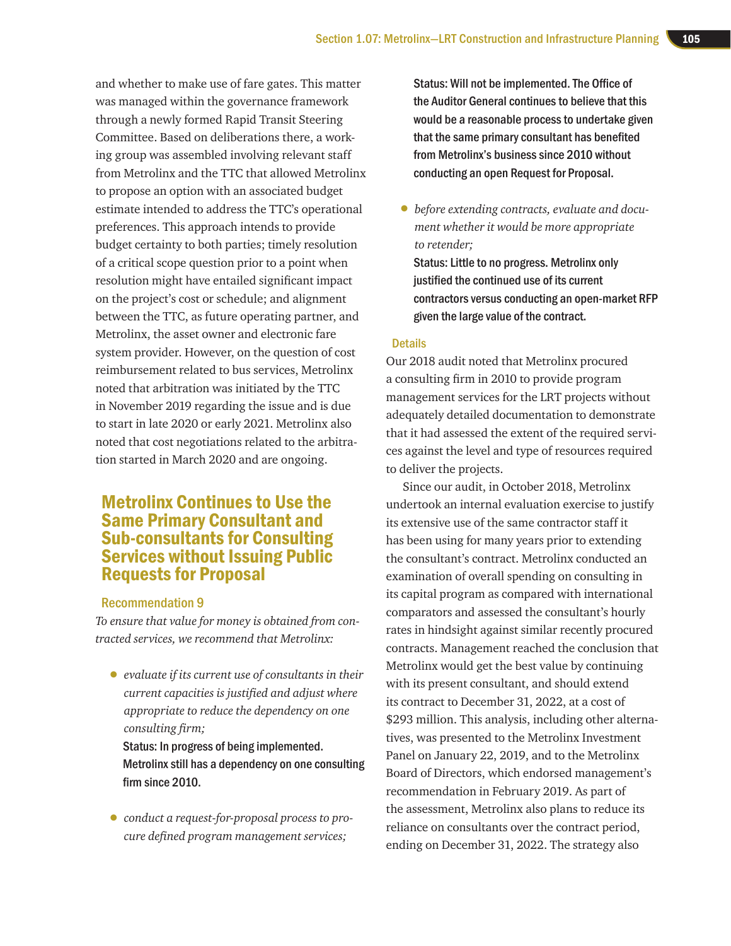and whether to make use of fare gates. This matter was managed within the governance framework through a newly formed Rapid Transit Steering Committee. Based on deliberations there, a working group was assembled involving relevant staff from Metrolinx and the TTC that allowed Metrolinx to propose an option with an associated budget estimate intended to address the TTC's operational preferences. This approach intends to provide budget certainty to both parties; timely resolution of a critical scope question prior to a point when resolution might have entailed significant impact on the project's cost or schedule; and alignment between the TTC, as future operating partner, and Metrolinx, the asset owner and electronic fare system provider. However, on the question of cost reimbursement related to bus services, Metrolinx noted that arbitration was initiated by the TTC in November 2019 regarding the issue and is due to start in late 2020 or early 2021. Metrolinx also noted that cost negotiations related to the arbitration started in March 2020 and are ongoing.

# Metrolinx Continues to Use the Same Primary Consultant and Sub-consultants for Consulting Services without Issuing Public Requests for Proposal

## Recommendation 9

*To ensure that value for money is obtained from contracted services, we recommend that Metrolinx:*

• *evaluate if its current use of consultants in their current capacities is justified and adjust where appropriate to reduce the dependency on one consulting firm;*

Status: In progress of being implemented. Metrolinx still has a dependency on one consulting firm since 2010.

• *conduct a request-for-proposal process to procure defined program management services;*

Status: Will not be implemented. The Office of the Auditor General continues to believe that this would be a reasonable process to undertake given that the same primary consultant has benefited from Metrolinx's business since 2010 without conducting an open Request for Proposal.

• *before extending contracts, evaluate and document whether it would be more appropriate to retender;*

Status: Little to no progress. Metrolinx only justified the continued use of its current contractors versus conducting an open-market RFP given the large value of the contract.

#### **Details**

Our 2018 audit noted that Metrolinx procured a consulting firm in 2010 to provide program management services for the LRT projects without adequately detailed documentation to demonstrate that it had assessed the extent of the required services against the level and type of resources required to deliver the projects.

Since our audit, in October 2018, Metrolinx undertook an internal evaluation exercise to justify its extensive use of the same contractor staff it has been using for many years prior to extending the consultant's contract. Metrolinx conducted an examination of overall spending on consulting in its capital program as compared with international comparators and assessed the consultant's hourly rates in hindsight against similar recently procured contracts. Management reached the conclusion that Metrolinx would get the best value by continuing with its present consultant, and should extend its contract to December 31, 2022, at a cost of \$293 million. This analysis, including other alternatives, was presented to the Metrolinx Investment Panel on January 22, 2019, and to the Metrolinx Board of Directors, which endorsed management's recommendation in February 2019. As part of the assessment, Metrolinx also plans to reduce its reliance on consultants over the contract period, ending on December 31, 2022. The strategy also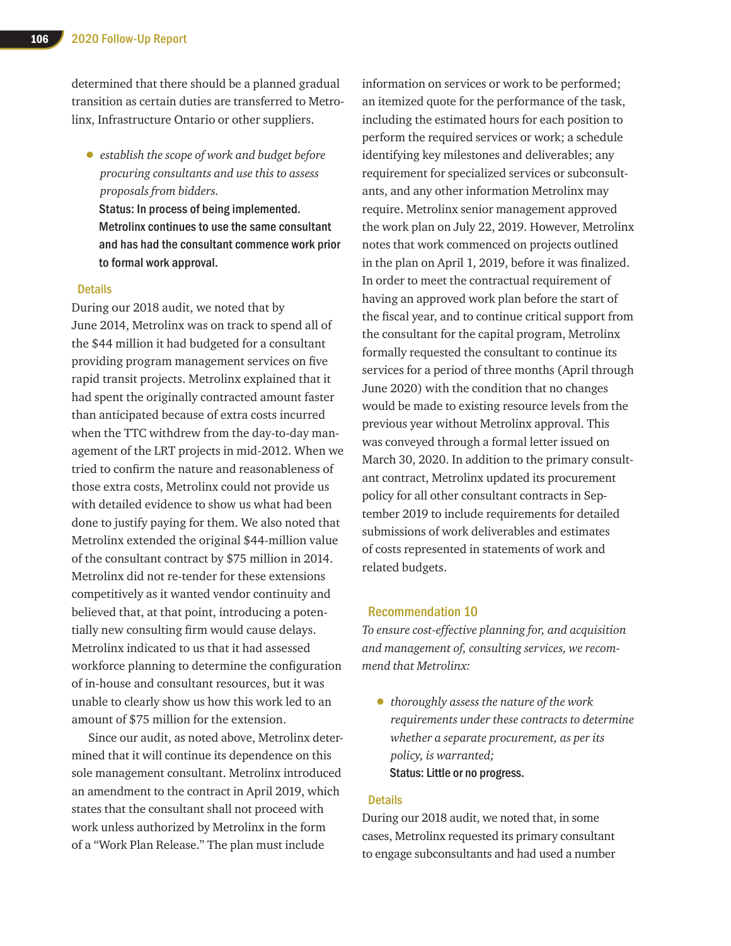determined that there should be a planned gradual transition as certain duties are transferred to Metrolinx, Infrastructure Ontario or other suppliers.

• *establish the scope of work and budget before procuring consultants and use this to assess proposals from bidders.*

Status: In process of being implemented. Metrolinx continues to use the same consultant and has had the consultant commence work prior to formal work approval.

#### **Details**

During our 2018 audit, we noted that by June 2014, Metrolinx was on track to spend all of the \$44 million it had budgeted for a consultant providing program management services on five rapid transit projects. Metrolinx explained that it had spent the originally contracted amount faster than anticipated because of extra costs incurred when the TTC withdrew from the day-to-day management of the LRT projects in mid-2012. When we tried to confirm the nature and reasonableness of those extra costs, Metrolinx could not provide us with detailed evidence to show us what had been done to justify paying for them. We also noted that Metrolinx extended the original \$44-million value of the consultant contract by \$75 million in 2014. Metrolinx did not re-tender for these extensions competitively as it wanted vendor continuity and believed that, at that point, introducing a potentially new consulting firm would cause delays. Metrolinx indicated to us that it had assessed workforce planning to determine the configuration of in-house and consultant resources, but it was unable to clearly show us how this work led to an amount of \$75 million for the extension.

Since our audit, as noted above, Metrolinx determined that it will continue its dependence on this sole management consultant. Metrolinx introduced an amendment to the contract in April 2019, which states that the consultant shall not proceed with work unless authorized by Metrolinx in the form of a "Work Plan Release." The plan must include

information on services or work to be performed; an itemized quote for the performance of the task, including the estimated hours for each position to perform the required services or work; a schedule identifying key milestones and deliverables; any requirement for specialized services or subconsultants, and any other information Metrolinx may require. Metrolinx senior management approved the work plan on July 22, 2019. However, Metrolinx notes that work commenced on projects outlined in the plan on April 1, 2019, before it was finalized. In order to meet the contractual requirement of having an approved work plan before the start of the fiscal year, and to continue critical support from the consultant for the capital program, Metrolinx formally requested the consultant to continue its services for a period of three months (April through June 2020) with the condition that no changes would be made to existing resource levels from the previous year without Metrolinx approval. This was conveyed through a formal letter issued on March 30, 2020. In addition to the primary consultant contract, Metrolinx updated its procurement policy for all other consultant contracts in September 2019 to include requirements for detailed submissions of work deliverables and estimates of costs represented in statements of work and related budgets.

#### Recommendation 10

*To ensure cost-effective planning for, and acquisition and management of, consulting services, we recommend that Metrolinx:*

• *thoroughly assess the nature of the work requirements under these contracts to determine whether a separate procurement, as per its policy, is warranted;* Status: Little or no progress.

#### **Details**

During our 2018 audit, we noted that, in some cases, Metrolinx requested its primary consultant to engage subconsultants and had used a number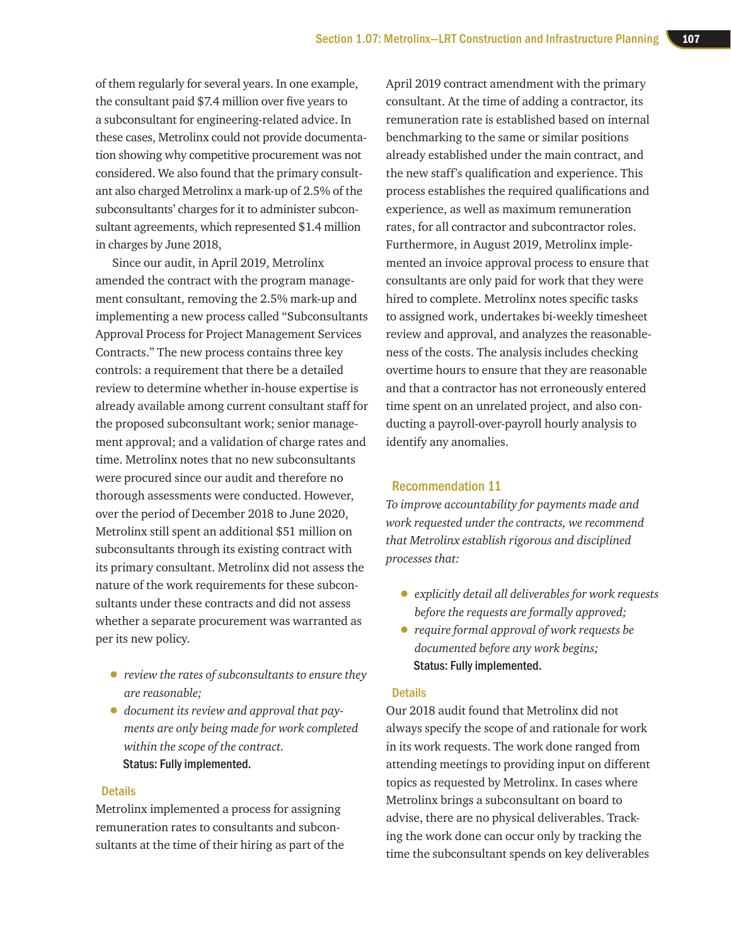of them regularly for several years. In one example, the consultant paid \$7.4 million over five years to a subconsultant for engineering-related advice. In these cases, Metrolinx could not provide documentation showing why competitive procurement was not considered. We also found that the primary consultant also charged Metrolinx a mark-up of 2.5% of the subconsultants' charges for it to administer subconsultant agreements, which represented \$1.4 million in charges by June 2018,

Since our audit, in April 2019, Metrolinx amended the contract with the program management consultant, removing the 2.5% mark-up and implementing a new process called "Subconsultants Approval Process for Project Management Services Contracts." The new process contains three key controls: a requirement that there be a detailed review to determine whether in-house expertise is already available among current consultant staff for the proposed subconsultant work; senior management approval; and a validation of charge rates and time. Metrolinx notes that no new subconsultants were procured since our audit and therefore no thorough assessments were conducted. However, over the period of December 2018 to June 2020, Metrolinx still spent an additional \$51 million on subconsultants through its existing contract with its primary consultant. Metrolinx did not assess the nature of the work requirements for these subconsultants under these contracts and did not assess whether a separate procurement was warranted as per its new policy.

- *review the rates of subconsultants to ensure they are reasonable;*
- *document its review and approval that payments are only being made for work completed within the scope of the contract.* Status: Fully implemented.

#### **Details**

Metrolinx implemented a process for assigning remuneration rates to consultants and subconsultants at the time of their hiring as part of the April 2019 contract amendment with the primary consultant. At the time of adding a contractor, its remuneration rate is established based on internal benchmarking to the same or similar positions already established under the main contract, and the new staff's qualification and experience. This process establishes the required qualifications and experience, as well as maximum remuneration rates, for all contractor and subcontractor roles. Furthermore, in August 2019, Metrolinx implemented an invoice approval process to ensure that consultants are only paid for work that they were hired to complete. Metrolinx notes specific tasks to assigned work, undertakes bi-weekly timesheet review and approval, and analyzes the reasonableness of the costs. The analysis includes checking overtime hours to ensure that they are reasonable and that a contractor has not erroneously entered time spent on an unrelated project, and also conducting a payroll-over-payroll hourly analysis to identify any anomalies.

#### Recommendation 11

*To improve accountability for payments made and work requested under the contracts, we recommend that Metrolinx establish rigorous and disciplined processes that:*

- *explicitly detail all deliverables for work requests before the requests are formally approved;*
- *require formal approval of work requests be documented before any work begins;*  Status: Fully implemented.

#### **Details**

Our 2018 audit found that Metrolinx did not always specify the scope of and rationale for work in its work requests. The work done ranged from attending meetings to providing input on different topics as requested by Metrolinx. In cases where Metrolinx brings a subconsultant on board to advise, there are no physical deliverables. Tracking the work done can occur only by tracking the time the subconsultant spends on key deliverables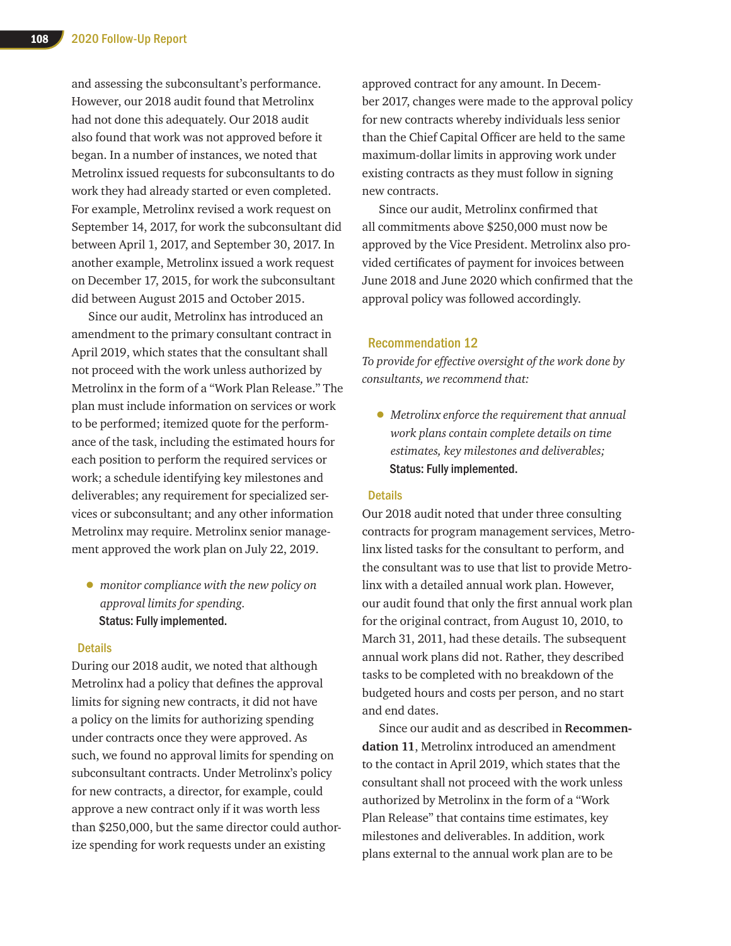and assessing the subconsultant's performance. However, our 2018 audit found that Metrolinx had not done this adequately. Our 2018 audit also found that work was not approved before it began. In a number of instances, we noted that Metrolinx issued requests for subconsultants to do work they had already started or even completed. For example, Metrolinx revised a work request on September 14, 2017, for work the subconsultant did between April 1, 2017, and September 30, 2017. In another example, Metrolinx issued a work request on December 17, 2015, for work the subconsultant did between August 2015 and October 2015.

Since our audit, Metrolinx has introduced an amendment to the primary consultant contract in April 2019, which states that the consultant shall not proceed with the work unless authorized by Metrolinx in the form of a "Work Plan Release." The plan must include information on services or work to be performed; itemized quote for the performance of the task, including the estimated hours for each position to perform the required services or work; a schedule identifying key milestones and deliverables; any requirement for specialized services or subconsultant; and any other information Metrolinx may require. Metrolinx senior management approved the work plan on July 22, 2019.

• *monitor compliance with the new policy on approval limits for spending.* Status: Fully implemented.

#### **Details**

During our 2018 audit, we noted that although Metrolinx had a policy that defines the approval limits for signing new contracts, it did not have a policy on the limits for authorizing spending under contracts once they were approved. As such, we found no approval limits for spending on subconsultant contracts. Under Metrolinx's policy for new contracts, a director, for example, could approve a new contract only if it was worth less than \$250,000, but the same director could authorize spending for work requests under an existing

approved contract for any amount. In December 2017, changes were made to the approval policy for new contracts whereby individuals less senior than the Chief Capital Officer are held to the same maximum-dollar limits in approving work under existing contracts as they must follow in signing new contracts.

Since our audit, Metrolinx confirmed that all commitments above \$250,000 must now be approved by the Vice President. Metrolinx also provided certificates of payment for invoices between June 2018 and June 2020 which confirmed that the approval policy was followed accordingly.

#### Recommendation 12

*To provide for effective oversight of the work done by consultants, we recommend that:*

• *Metrolinx enforce the requirement that annual work plans contain complete details on time estimates, key milestones and deliverables;* Status: Fully implemented.

#### **Details**

Our 2018 audit noted that under three consulting contracts for program management services, Metrolinx listed tasks for the consultant to perform, and the consultant was to use that list to provide Metrolinx with a detailed annual work plan. However, our audit found that only the first annual work plan for the original contract, from August 10, 2010, to March 31, 2011, had these details. The subsequent annual work plans did not. Rather, they described tasks to be completed with no breakdown of the budgeted hours and costs per person, and no start and end dates.

Since our audit and as described in **Recommendation 11**, Metrolinx introduced an amendment to the contact in April 2019, which states that the consultant shall not proceed with the work unless authorized by Metrolinx in the form of a "Work Plan Release" that contains time estimates, key milestones and deliverables. In addition, work plans external to the annual work plan are to be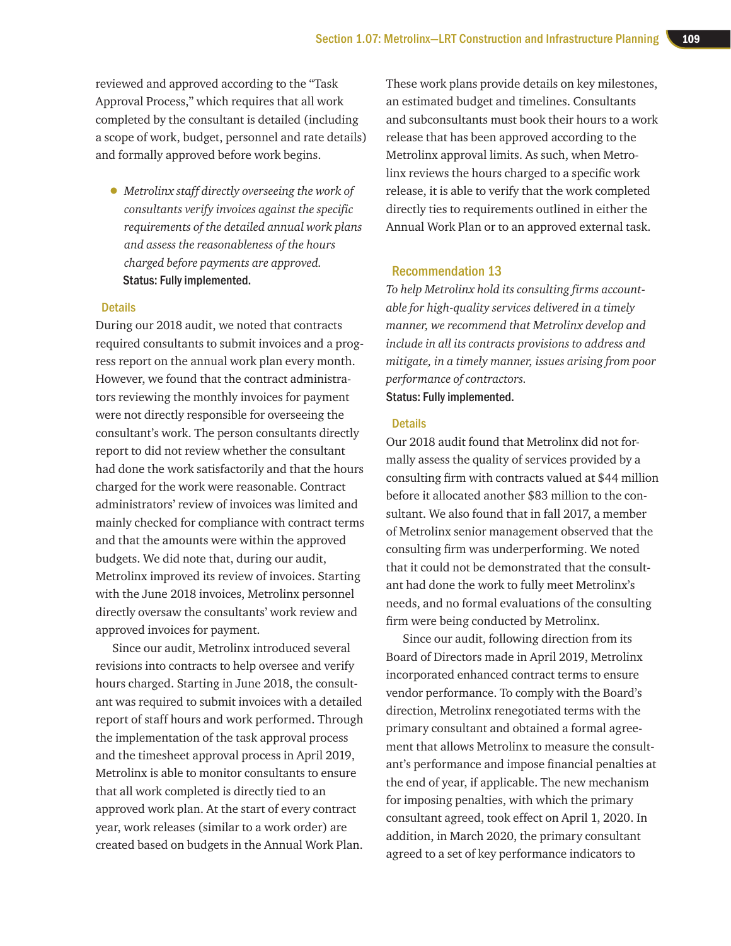reviewed and approved according to the "Task Approval Process," which requires that all work completed by the consultant is detailed (including a scope of work, budget, personnel and rate details) and formally approved before work begins.

• *Metrolinx staff directly overseeing the work of consultants verify invoices against the specific requirements of the detailed annual work plans and assess the reasonableness of the hours charged before payments are approved.* Status: Fully implemented.

#### **Details**

During our 2018 audit, we noted that contracts required consultants to submit invoices and a progress report on the annual work plan every month. However, we found that the contract administrators reviewing the monthly invoices for payment were not directly responsible for overseeing the consultant's work. The person consultants directly report to did not review whether the consultant had done the work satisfactorily and that the hours charged for the work were reasonable. Contract administrators' review of invoices was limited and mainly checked for compliance with contract terms and that the amounts were within the approved budgets. We did note that, during our audit, Metrolinx improved its review of invoices. Starting with the June 2018 invoices, Metrolinx personnel directly oversaw the consultants' work review and approved invoices for payment.

Since our audit, Metrolinx introduced several revisions into contracts to help oversee and verify hours charged. Starting in June 2018, the consultant was required to submit invoices with a detailed report of staff hours and work performed. Through the implementation of the task approval process and the timesheet approval process in April 2019, Metrolinx is able to monitor consultants to ensure that all work completed is directly tied to an approved work plan. At the start of every contract year, work releases (similar to a work order) are created based on budgets in the Annual Work Plan.

These work plans provide details on key milestones, an estimated budget and timelines. Consultants and subconsultants must book their hours to a work release that has been approved according to the Metrolinx approval limits. As such, when Metrolinx reviews the hours charged to a specific work release, it is able to verify that the work completed directly ties to requirements outlined in either the Annual Work Plan or to an approved external task.

#### Recommendation 13

*To help Metrolinx hold its consulting firms accountable for high-quality services delivered in a timely manner, we recommend that Metrolinx develop and include in all its contracts provisions to address and mitigate, in a timely manner, issues arising from poor performance of contractors.* Status: Fully implemented.

#### **Details**

Our 2018 audit found that Metrolinx did not formally assess the quality of services provided by a consulting firm with contracts valued at \$44 million before it allocated another \$83 million to the consultant. We also found that in fall 2017, a member of Metrolinx senior management observed that the consulting firm was underperforming. We noted that it could not be demonstrated that the consultant had done the work to fully meet Metrolinx's needs, and no formal evaluations of the consulting firm were being conducted by Metrolinx.

Since our audit, following direction from its Board of Directors made in April 2019, Metrolinx incorporated enhanced contract terms to ensure vendor performance. To comply with the Board's direction, Metrolinx renegotiated terms with the primary consultant and obtained a formal agreement that allows Metrolinx to measure the consultant's performance and impose financial penalties at the end of year, if applicable. The new mechanism for imposing penalties, with which the primary consultant agreed, took effect on April 1, 2020. In addition, in March 2020, the primary consultant agreed to a set of key performance indicators to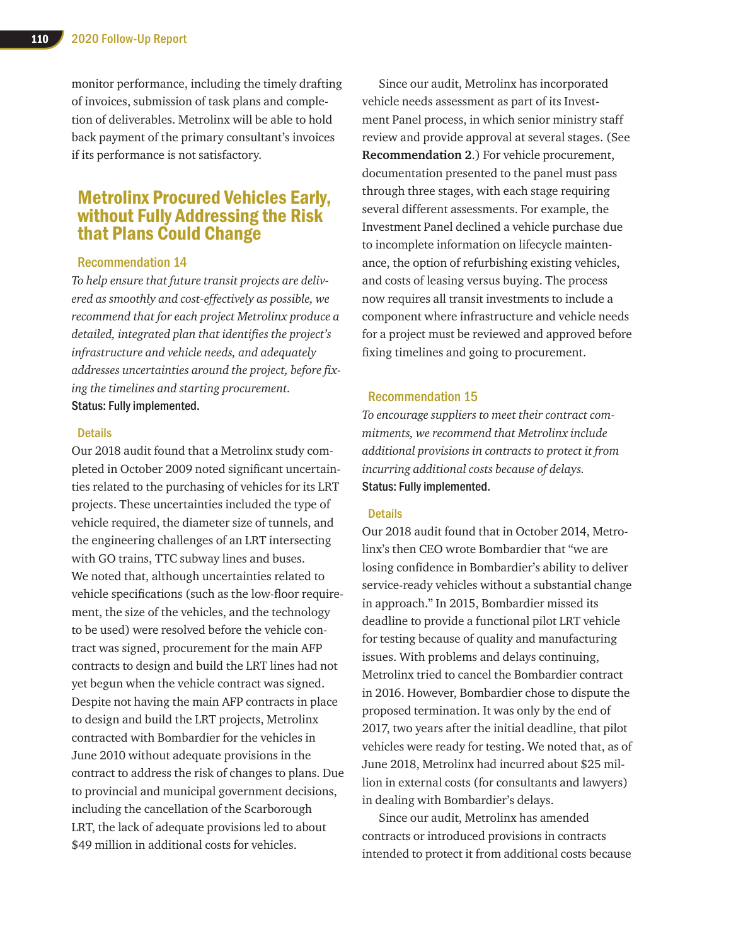monitor performance, including the timely drafting of invoices, submission of task plans and completion of deliverables. Metrolinx will be able to hold back payment of the primary consultant's invoices if its performance is not satisfactory.

# Metrolinx Procured Vehicles Early, without Fully Addressing the Risk that Plans Could Change

#### Recommendation 14

*To help ensure that future transit projects are delivered as smoothly and cost-effectively as possible, we recommend that for each project Metrolinx produce a detailed, integrated plan that identifies the project's infrastructure and vehicle needs, and adequately addresses uncertainties around the project, before fixing the timelines and starting procurement.* Status: Fully implemented.

#### **Details**

Our 2018 audit found that a Metrolinx study completed in October 2009 noted significant uncertainties related to the purchasing of vehicles for its LRT projects. These uncertainties included the type of vehicle required, the diameter size of tunnels, and the engineering challenges of an LRT intersecting with GO trains, TTC subway lines and buses. We noted that, although uncertainties related to vehicle specifications (such as the low-floor requirement, the size of the vehicles, and the technology to be used) were resolved before the vehicle contract was signed, procurement for the main AFP contracts to design and build the LRT lines had not yet begun when the vehicle contract was signed. Despite not having the main AFP contracts in place to design and build the LRT projects, Metrolinx contracted with Bombardier for the vehicles in June 2010 without adequate provisions in the contract to address the risk of changes to plans. Due to provincial and municipal government decisions, including the cancellation of the Scarborough LRT, the lack of adequate provisions led to about \$49 million in additional costs for vehicles.

Since our audit, Metrolinx has incorporated vehicle needs assessment as part of its Investment Panel process, in which senior ministry staff review and provide approval at several stages. (See **Recommendation 2**.) For vehicle procurement, documentation presented to the panel must pass through three stages, with each stage requiring several different assessments. For example, the Investment Panel declined a vehicle purchase due to incomplete information on lifecycle maintenance, the option of refurbishing existing vehicles, and costs of leasing versus buying. The process now requires all transit investments to include a component where infrastructure and vehicle needs for a project must be reviewed and approved before fixing timelines and going to procurement.

## Recommendation 15

*To encourage suppliers to meet their contract commitments, we recommend that Metrolinx include additional provisions in contracts to protect it from incurring additional costs because of delays.* Status: Fully implemented.

#### **Details**

Our 2018 audit found that in October 2014, Metrolinx's then CEO wrote Bombardier that "we are losing confidence in Bombardier's ability to deliver service-ready vehicles without a substantial change in approach." In 2015, Bombardier missed its deadline to provide a functional pilot LRT vehicle for testing because of quality and manufacturing issues. With problems and delays continuing, Metrolinx tried to cancel the Bombardier contract in 2016. However, Bombardier chose to dispute the proposed termination. It was only by the end of 2017, two years after the initial deadline, that pilot vehicles were ready for testing. We noted that, as of June 2018, Metrolinx had incurred about \$25 million in external costs (for consultants and lawyers) in dealing with Bombardier's delays.

Since our audit, Metrolinx has amended contracts or introduced provisions in contracts intended to protect it from additional costs because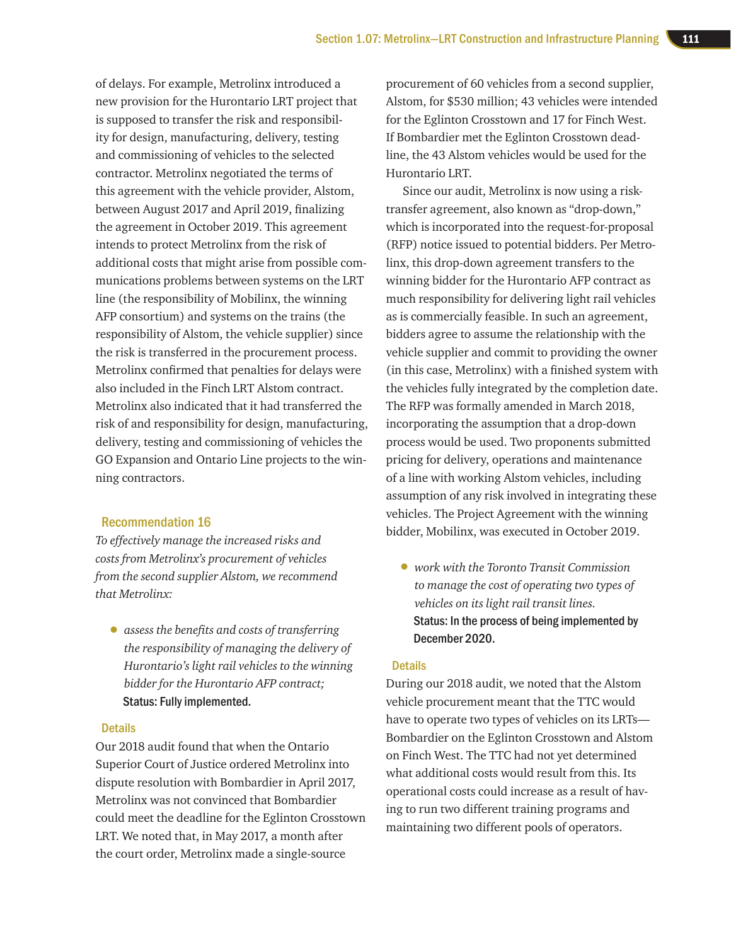of delays. For example, Metrolinx introduced a new provision for the Hurontario LRT project that is supposed to transfer the risk and responsibility for design, manufacturing, delivery, testing and commissioning of vehicles to the selected contractor. Metrolinx negotiated the terms of this agreement with the vehicle provider, Alstom, between August 2017 and April 2019, finalizing the agreement in October 2019. This agreement intends to protect Metrolinx from the risk of additional costs that might arise from possible communications problems between systems on the LRT line (the responsibility of Mobilinx, the winning AFP consortium) and systems on the trains (the responsibility of Alstom, the vehicle supplier) since the risk is transferred in the procurement process. Metrolinx confirmed that penalties for delays were also included in the Finch LRT Alstom contract. Metrolinx also indicated that it had transferred the risk of and responsibility for design, manufacturing, delivery, testing and commissioning of vehicles the GO Expansion and Ontario Line projects to the winning contractors.

## Recommendation 16

*To effectively manage the increased risks and costs from Metrolinx's procurement of vehicles from the second supplier Alstom, we recommend that Metrolinx:*

• *assess the benefits and costs of transferring the responsibility of managing the delivery of Hurontario's light rail vehicles to the winning bidder for the Hurontario AFP contract;*  Status: Fully implemented.

#### **Details**

Our 2018 audit found that when the Ontario Superior Court of Justice ordered Metrolinx into dispute resolution with Bombardier in April 2017, Metrolinx was not convinced that Bombardier could meet the deadline for the Eglinton Crosstown LRT. We noted that, in May 2017, a month after the court order, Metrolinx made a single-source

procurement of 60 vehicles from a second supplier, Alstom, for \$530 million; 43 vehicles were intended for the Eglinton Crosstown and 17 for Finch West. If Bombardier met the Eglinton Crosstown deadline, the 43 Alstom vehicles would be used for the Hurontario LRT.

Since our audit, Metrolinx is now using a risktransfer agreement, also known as "drop-down," which is incorporated into the request-for-proposal (RFP) notice issued to potential bidders. Per Metrolinx, this drop-down agreement transfers to the winning bidder for the Hurontario AFP contract as much responsibility for delivering light rail vehicles as is commercially feasible. In such an agreement, bidders agree to assume the relationship with the vehicle supplier and commit to providing the owner (in this case, Metrolinx) with a finished system with the vehicles fully integrated by the completion date. The RFP was formally amended in March 2018, incorporating the assumption that a drop-down process would be used. Two proponents submitted pricing for delivery, operations and maintenance of a line with working Alstom vehicles, including assumption of any risk involved in integrating these vehicles. The Project Agreement with the winning bidder, Mobilinx, was executed in October 2019.

• *work with the Toronto Transit Commission to manage the cost of operating two types of vehicles on its light rail transit lines.* Status: In the process of being implemented by December 2020.

#### **Details**

During our 2018 audit, we noted that the Alstom vehicle procurement meant that the TTC would have to operate two types of vehicles on its LRTs— Bombardier on the Eglinton Crosstown and Alstom on Finch West. The TTC had not yet determined what additional costs would result from this. Its operational costs could increase as a result of having to run two different training programs and maintaining two different pools of operators.